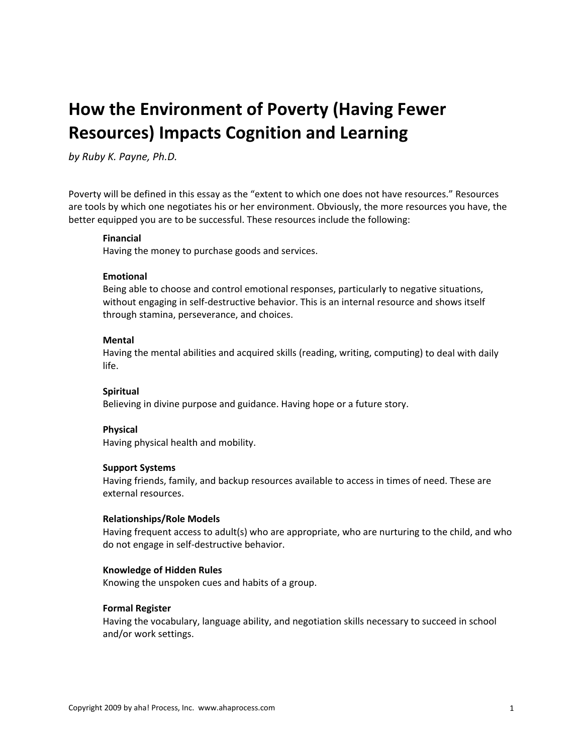# **How the Environment of Poverty (Having Fewer Resources) Impacts Cognition and Learning**

*by Ruby K. Payne, Ph.D.*

Poverty will be defined in this essay as the "extent to which one does not have resources." Resources are tools by which one negotiates his or her environment. Obviously, the more resources you have, the better equipped you are to be successful. These resources include the following:

#### **Financial**

Having the money to purchase goods and services.

#### **Emotional**

Being able to choose and control emotional responses, particularly to negative situations, without engaging in self-destructive behavior. This is an internal resource and shows itself through stamina, perseverance, and choices.

#### **Mental**

Having the mental abilities and acquired skills (reading, writing, computing) to deal with daily life.

#### **Spiritual**

Believing in divine purpose and guidance. Having hope or a future story.

#### **Physical**

Having physical health and mobility.

#### **Support Systems**

Having friends, family, and backup resources available to access in times of need. These are external resources.

#### **Relationships/Role Models**

Having frequent access to adult(s) who are appropriate, who are nurturing to the child, and who do not engage in self‐destructive behavior.

#### **Knowledge of Hidden Rules**

Knowing the unspoken cues and habits of a group.

#### **Formal Register**

Having the vocabulary, language ability, and negotiation skills necessary to succeed in school and/or work settings.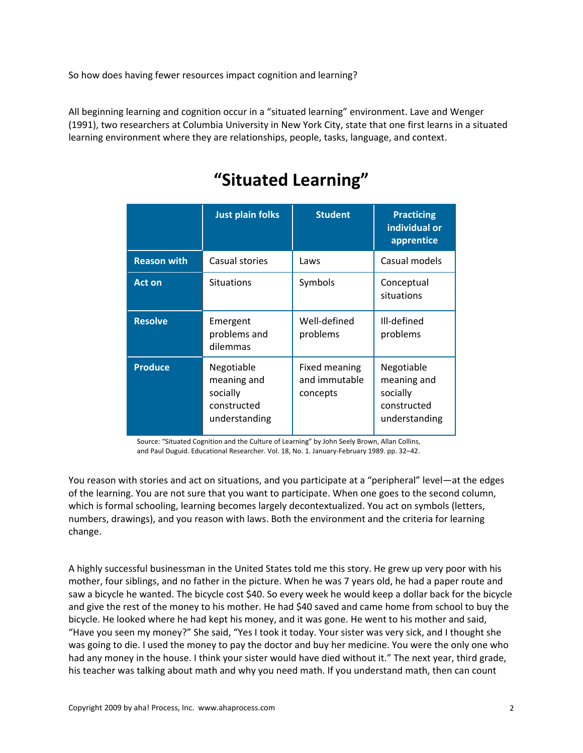So how does having fewer resources impact cognition and learning?

All beginning learning and cognition occur in a "situated learning" environment. Lave and Wenger (1991), two researchers at Columbia University in New York City, state that one first learns in a situated learning environment where they are relationships, people, tasks, language, and context.

|                    | <b>Just plain folks</b>                                               | <b>Student</b>                             | <b>Practicing</b><br>individual or<br>apprentice                      |
|--------------------|-----------------------------------------------------------------------|--------------------------------------------|-----------------------------------------------------------------------|
| <b>Reason with</b> | Casual stories                                                        | Laws                                       | Casual models                                                         |
| <b>Act on</b>      | <b>Situations</b>                                                     | Symbols                                    | Conceptual<br>situations                                              |
| <b>Resolve</b>     | Emergent<br>problems and<br>dilemmas                                  | Well-defined<br>problems                   | Ill-defined<br>problems                                               |
| <b>Produce</b>     | Negotiable<br>meaning and<br>socially<br>constructed<br>understanding | Fixed meaning<br>and immutable<br>concepts | Negotiable<br>meaning and<br>socially<br>constructed<br>understanding |

## **"Situated Learning"**

Source: "Situated Cognition and the Culture of Learning" by John Seely Brown, Allan Collins, and Paul Duguid. Educational Researcher. Vol. 18, No. 1. January‐February 1989. pp. 32–42.

You reason with stories and act on situations, and you participate at a "peripheral" level—at the edges of the learning. You are not sure that you want to participate. When one goes to the second column, which is formal schooling, learning becomes largely decontextualized. You act on symbols (letters, numbers, drawings), and you reason with laws. Both the environment and the criteria for learning change.

A highly successful businessman in the United States told me this story. He grew up very poor with his mother, four siblings, and no father in the picture. When he was 7 years old, he had a paper route and saw a bicycle he wanted. The bicycle cost \$40. So every week he would keep a dollar back for the bicycle and give the rest of the money to his mother. He had \$40 saved and came home from school to buy the bicycle. He looked where he had kept his money, and it was gone. He went to his mother and said, "Have you seen my money?" She said, "Yes I took it today. Your sister was very sick, and I thought she was going to die. I used the money to pay the doctor and buy her medicine. You were the only one who had any money in the house. I think your sister would have died without it." The next year, third grade, his teacher was talking about math and why you need math. If you understand math, then can count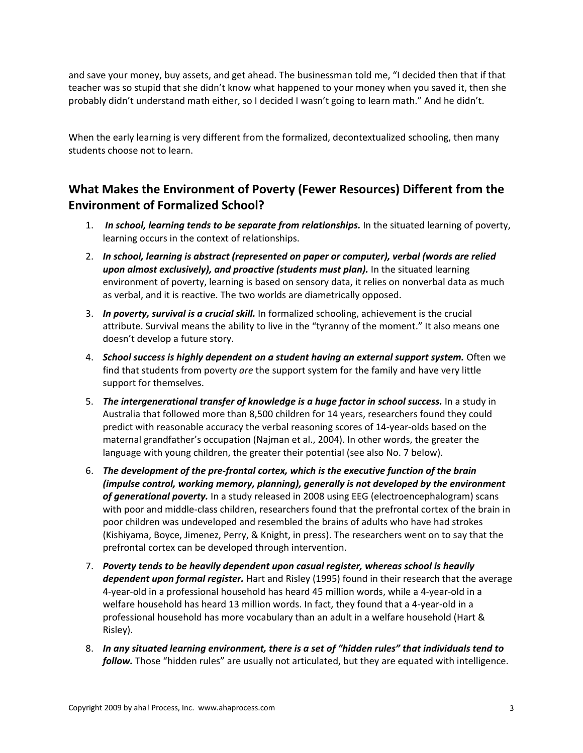and save your money, buy assets, and get ahead. The businessman told me, "I decided then that if that teacher was so stupid that she didn't know what happened to your money when you saved it, then she probably didn't understand math either, so I decided I wasn't going to learn math." And he didn't.

When the early learning is very different from the formalized, decontextualized schooling, then many students choose not to learn.

## **What Makes the Environment of Poverty (Fewer Resources) Different from the Environment of Formalized School?**

- 1. *In school, learning tends to be separate from relationships.* In the situated learning of poverty, learning occurs in the context of relationships.
- 2. *In school, learning is abstract (represented on paper or computer), verbal (words are relied upon almost exclusively), and proactive (students must plan).* In the situated learning environment of poverty, learning is based on sensory data, it relies on nonverbal data as much as verbal, and it is reactive. The two worlds are diametrically opposed.
- 3. *In poverty, survival is a crucial skill.* In formalized schooling, achievement is the crucial attribute. Survival means the ability to live in the "tyranny of the moment." It also means one doesn't develop a future story.
- 4. *School success is highly dependent on a student having an external support system.* Often we find that students from poverty *are* the support system for the family and have very little support for themselves.
- 5. *The intergenerational transfer of knowledge is a huge factor in school success.* In a study in Australia that followed more than 8,500 children for 14 years, researchers found they could predict with reasonable accuracy the verbal reasoning scores of 14‐year‐olds based on the maternal grandfather's occupation (Najman et al., 2004). In other words, the greater the language with young children, the greater their potential (see also No. 7 below).
- 6. *The development of the pre‐frontal cortex, which is the executive function of the brain (impulse control, working memory, planning), generally is not developed by the environment of generational poverty.* In a study released in 2008 using EEG (electroencephalogram) scans with poor and middle‐class children, researchers found that the prefrontal cortex of the brain in poor children was undeveloped and resembled the brains of adults who have had strokes (Kishiyama, Boyce, Jimenez, Perry, & Knight, in press). The researchers went on to say that the prefrontal cortex can be developed through intervention.
- 7. *Poverty tends to be heavily dependent upon casual register, whereas school is heavily dependent upon formal register.* Hart and Risley (1995) found in their research that the average 4‐year‐old in a professional household has heard 45 million words, while a 4‐year‐old in a welfare household has heard 13 million words. In fact, they found that a 4‐year‐old in a professional household has more vocabulary than an adult in a welfare household (Hart & Risley).
- 8. *In any situated learning environment, there is a set of "hidden rules" that individuals tend to follow.* Those "hidden rules" are usually not articulated, but they are equated with intelligence.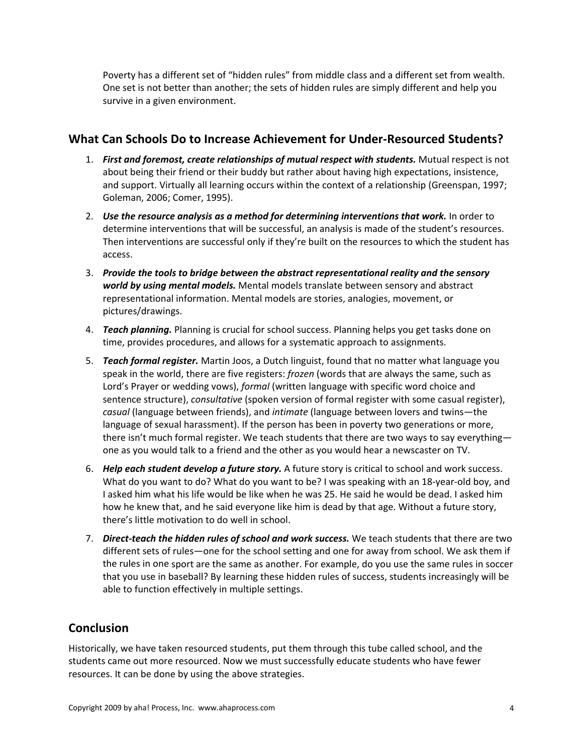Poverty has a different set of "hidden rules" from middle class and a different set from wealth. One set is not better than another; the sets of hidden rules are simply different and help you survive in a given environment.

### **What Can Schools Do to Increase Achievement for Under‐Resourced Students?**

- 1. *First and foremost, create relationships of mutual respect with students.* Mutual respect is not about being their friend or their buddy but rather about having high expectations, insistence, and support. Virtually all learning occurs within the context of a relationship (Greenspan, 1997; Goleman, 2006; Comer, 1995).
- 2. *Use the resource analysis as a method for determining interventions that work.* In order to determine interventions that will be successful, an analysis is made of the student's resources. Then interventions are successful only if they're built on the resources to which the student has access.
- 3. *Provide the tools to bridge between the abstract representational reality and the sensory world by using mental models.* Mental models translate between sensory and abstract representational information. Mental models are stories, analogies, movement, or pictures/drawings.
- 4. *Teach planning.* Planning is crucial for school success. Planning helps you get tasks done on time, provides procedures, and allows for a systematic approach to assignments.
- 5. *Teach formal register.* Martin Joos, a Dutch linguist, found that no matter what language you speak in the world, there are five registers: *frozen* (words that are always the same, such as Lord's Prayer or wedding vows), *formal* (written language with specific word choice and sentence structure), *consultative* (spoken version of formal register with some casual register), *casual* (language between friends), and *intimate* (language between lovers and twins—the language of sexual harassment). If the person has been in poverty two generations or more, there isn't much formal register. We teach students that there are two ways to say everything one as you would talk to a friend and the other as you would hear a newscaster on TV.
- 6. *Help each student develop a future story.* A future story is critical to school and work success. What do you want to do? What do you want to be? I was speaking with an 18-year-old boy, and I asked him what his life would be like when he was 25. He said he would be dead. I asked him how he knew that, and he said everyone like him is dead by that age. Without a future story, there's little motivation to do well in school.
- 7. *Direct‐teach the hidden rules of school and work success.* We teach students that there are two different sets of rules—one for the school setting and one for away from school. We ask them if the rules in one sport are the same as another. For example, do you use the same rules in soccer that you use in baseball? By learning these hidden rules of success, students increasingly will be able to function effectively in multiple settings.

## **Conclusion**

Historically, we have taken resourced students, put them through this tube called school, and the students came out more resourced. Now we must successfully educate students who have fewer resources. It can be done by using the above strategies.